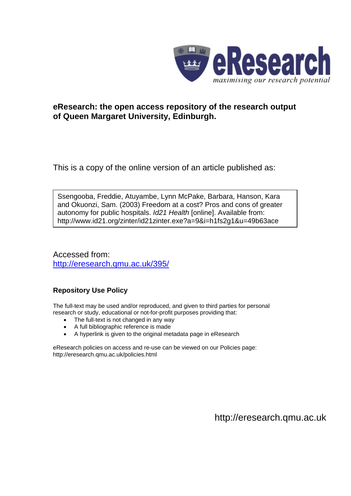

## **eResearch: the open access repository of the research output of Queen Margaret University, Edinburgh.**

This is a copy of the online version of an article published as:

Ssengooba, Freddie, Atuyambe, Lynn McPake, Barbara, Hanson, Kara and Okuonzi, Sam. (2003) Freedom at a cost? Pros and cons of greater autonomy for public hospitals. *Id21 Health* [online]. Available from: http://www.id21.org/zinter/id21zinter.exe?a=9&i=h1fs2g1&u=49b63ace

Accessed from: <http://eresearch.qmu.ac.uk/395/>

## **Repository Use Policy**

The full-text may be used and/or reproduced, and given to third parties for personal research or study, educational or not-for-profit purposes providing that:

- The full-text is not changed in any way
- A full bibliographic reference is made
- A hyperlink is given to the original metadata page in eResearch

eResearch policies on access and re-use can be viewed on our Policies page: <http://eresearch.qmu.ac.uk/policies.html>

[http://eresearch.qmu.ac.uk](http://eresearch.qmu.ac.uk/)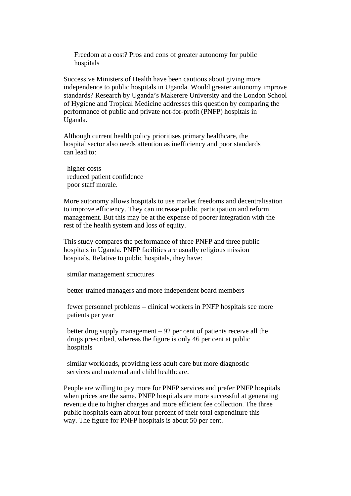Freedom at a cost? Pros and cons of greater autonomy for public hospitals

 Successive Ministers of Health have been cautious about giving more independence to public hospitals in Uganda. Would greater autonomy improve standards? Research by Uganda's Makerere University and the London School of Hygiene and Tropical Medicine addresses this question by comparing the performance of public and private not-for-profit (PNFP) hospitals in Uganda.

 Although current health policy prioritises primary healthcare, the hospital sector also needs attention as inefficiency and poor standards can lead to:

 higher costs reduced patient confidence poor staff morale.

 More autonomy allows hospitals to use market freedoms and decentralisation to improve efficiency. They can increase public participation and reform management. But this may be at the expense of poorer integration with the rest of the health system and loss of equity.

 This study compares the performance of three PNFP and three public hospitals in Uganda. PNFP facilities are usually religious mission hospitals. Relative to public hospitals, they have:

similar management structures

better-trained managers and more independent board members

 fewer personnel problems – clinical workers in PNFP hospitals see more patients per year

 better drug supply management – 92 per cent of patients receive all the drugs prescribed, whereas the figure is only 46 per cent at public hospitals

 similar workloads, providing less adult care but more diagnostic services and maternal and child healthcare.

 People are willing to pay more for PNFP services and prefer PNFP hospitals when prices are the same. PNFP hospitals are more successful at generating revenue due to higher charges and more efficient fee collection. The three public hospitals earn about four percent of their total expenditure this way. The figure for PNFP hospitals is about 50 per cent.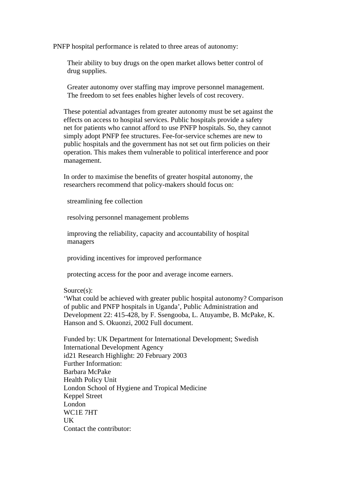PNFP hospital performance is related to three areas of autonomy:

 Their ability to buy drugs on the open market allows better control of drug supplies.

 Greater autonomy over staffing may improve personnel management. The freedom to set fees enables higher levels of cost recovery.

 These potential advantages from greater autonomy must be set against the effects on access to hospital services. Public hospitals provide a safety net for patients who cannot afford to use PNFP hospitals. So, they cannot simply adopt PNFP fee structures. Fee-for-service schemes are new to public hospitals and the government has not set out firm policies on their operation. This makes them vulnerable to political interference and poor management.

 In order to maximise the benefits of greater hospital autonomy, the researchers recommend that policy-makers should focus on:

streamlining fee collection

resolving personnel management problems

 improving the reliability, capacity and accountability of hospital managers

providing incentives for improved performance

protecting access for the poor and average income earners.

Source(s):

 'What could be achieved with greater public hospital autonomy? Comparison of public and PNFP hospitals in Uganda', Public Administration and Development 22: 415-428, by F. Ssengooba, L. Atuyambe, B. McPake, K. Hanson and S. Okuonzi, 2002 Full document.

 Funded by: UK Department for International Development; Swedish International Development Agency id21 Research Highlight: 20 February 2003 Further Information: Barbara McPake Health Policy Unit London School of Hygiene and Tropical Medicine Keppel Street London WC1E 7HT **IK** Contact the contributor: